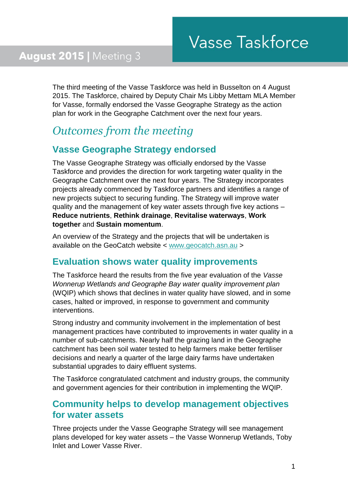The third meeting of the Vasse Taskforce was held in Busselton on 4 August 2015. The Taskforce, chaired by Deputy Chair Ms Libby Mettam MLA Member for Vasse, formally endorsed the Vasse Geographe Strategy as the action plan for work in the Geographe Catchment over the next four years.

# *Outcomes from the meeting*

## **Vasse Geographe Strategy endorsed**

The Vasse Geographe Strategy was officially endorsed by the Vasse Taskforce and provides the direction for work targeting water quality in the Geographe Catchment over the next four years. The Strategy incorporates projects already commenced by Taskforce partners and identifies a range of new projects subject to securing funding. The Strategy will improve water quality and the management of key water assets through five key actions – **Reduce nutrients**, **Rethink drainage**, **Revitalise waterways**, **Work together** and **Sustain momentum**.

An overview of the Strategy and the projects that will be undertaken is available on the GeoCatch website < [www.geocatch.asn.au](http://www.geocatch.asn.au/) >

#### **Evaluation shows water quality improvements**

The Taskforce heard the results from the five year evaluation of the *Vasse Wonnerup Wetlands and Geographe Bay water quality improvement plan* (WQIP) which shows that declines in water quality have slowed, and in some cases, halted or improved, in response to government and community interventions.

Strong industry and community involvement in the implementation of best management practices have contributed to improvements in water quality in a number of sub-catchments. Nearly half the grazing land in the Geographe catchment has been soil water tested to help farmers make better fertiliser decisions and nearly a quarter of the large dairy farms have undertaken substantial upgrades to dairy effluent systems.

The Taskforce congratulated catchment and industry groups, the community and government agencies for their contribution in implementing the WQIP.

#### **Community helps to develop management objectives for water assets**

Three projects under the Vasse Geographe Strategy will see management plans developed for key water assets – the Vasse Wonnerup Wetlands, Toby Inlet and Lower Vasse River.